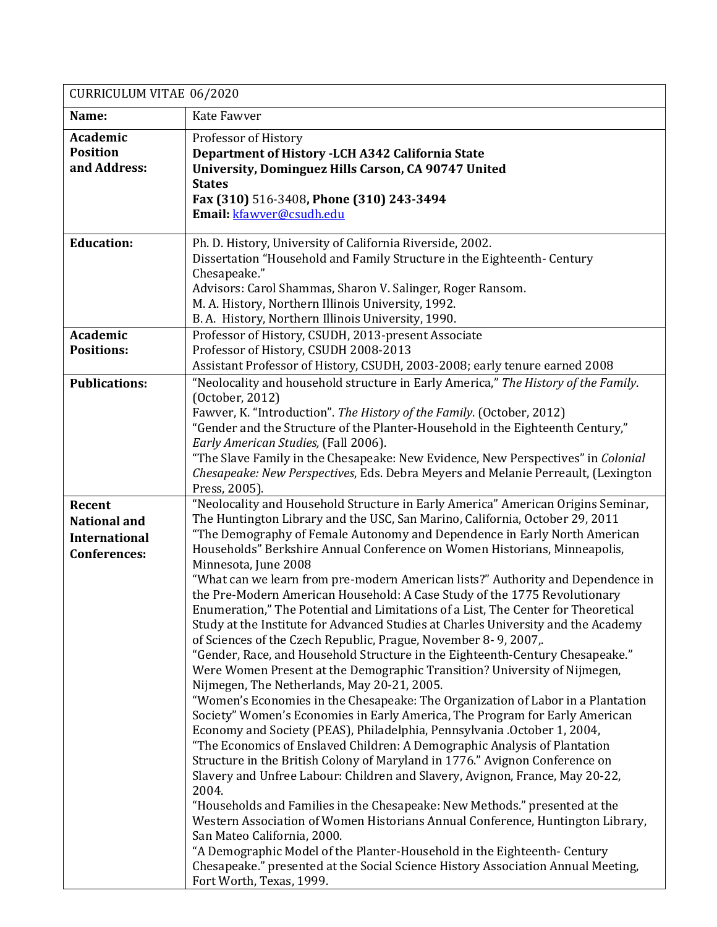| CURRICULUM VITAE 06/2020                                                     |                                                                                                                                                                                                                                                                                                                                                                                                                                                                                                                                                                                                                                                                                                                                                                                                                                                                                                                                                                                                                                                                                                                                                                                                                                                                                                                                                                                                                                                                                                                                                                                                                                                                                                                                                                                                                                                                             |
|------------------------------------------------------------------------------|-----------------------------------------------------------------------------------------------------------------------------------------------------------------------------------------------------------------------------------------------------------------------------------------------------------------------------------------------------------------------------------------------------------------------------------------------------------------------------------------------------------------------------------------------------------------------------------------------------------------------------------------------------------------------------------------------------------------------------------------------------------------------------------------------------------------------------------------------------------------------------------------------------------------------------------------------------------------------------------------------------------------------------------------------------------------------------------------------------------------------------------------------------------------------------------------------------------------------------------------------------------------------------------------------------------------------------------------------------------------------------------------------------------------------------------------------------------------------------------------------------------------------------------------------------------------------------------------------------------------------------------------------------------------------------------------------------------------------------------------------------------------------------------------------------------------------------------------------------------------------------|
| Name:                                                                        | Kate Fawver                                                                                                                                                                                                                                                                                                                                                                                                                                                                                                                                                                                                                                                                                                                                                                                                                                                                                                                                                                                                                                                                                                                                                                                                                                                                                                                                                                                                                                                                                                                                                                                                                                                                                                                                                                                                                                                                 |
| Academic<br><b>Position</b><br>and Address:                                  | Professor of History<br>Department of History - LCH A342 California State<br>University, Dominguez Hills Carson, CA 90747 United<br><b>States</b><br>Fax (310) 516-3408, Phone (310) 243-3494<br>Email: kfawver@csudh.edu                                                                                                                                                                                                                                                                                                                                                                                                                                                                                                                                                                                                                                                                                                                                                                                                                                                                                                                                                                                                                                                                                                                                                                                                                                                                                                                                                                                                                                                                                                                                                                                                                                                   |
| <b>Education:</b>                                                            | Ph. D. History, University of California Riverside, 2002.<br>Dissertation "Household and Family Structure in the Eighteenth- Century<br>Chesapeake."<br>Advisors: Carol Shammas, Sharon V. Salinger, Roger Ransom.<br>M. A. History, Northern Illinois University, 1992.<br>B. A. History, Northern Illinois University, 1990.                                                                                                                                                                                                                                                                                                                                                                                                                                                                                                                                                                                                                                                                                                                                                                                                                                                                                                                                                                                                                                                                                                                                                                                                                                                                                                                                                                                                                                                                                                                                              |
| Academic<br><b>Positions:</b>                                                | Professor of History, CSUDH, 2013-present Associate<br>Professor of History, CSUDH 2008-2013<br>Assistant Professor of History, CSUDH, 2003-2008; early tenure earned 2008                                                                                                                                                                                                                                                                                                                                                                                                                                                                                                                                                                                                                                                                                                                                                                                                                                                                                                                                                                                                                                                                                                                                                                                                                                                                                                                                                                                                                                                                                                                                                                                                                                                                                                  |
| <b>Publications:</b>                                                         | "Neolocality and household structure in Early America," The History of the Family.<br>(October, 2012)<br>Fawver, K. "Introduction". The History of the Family. (October, 2012)<br>"Gender and the Structure of the Planter-Household in the Eighteenth Century,"<br>Early American Studies, (Fall 2006).<br>"The Slave Family in the Chesapeake: New Evidence, New Perspectives" in Colonial<br>Chesapeake: New Perspectives, Eds. Debra Meyers and Melanie Perreault, (Lexington<br>Press, 2005).                                                                                                                                                                                                                                                                                                                                                                                                                                                                                                                                                                                                                                                                                                                                                                                                                                                                                                                                                                                                                                                                                                                                                                                                                                                                                                                                                                          |
| Recent<br><b>National and</b><br><b>International</b><br><b>Conferences:</b> | "Neolocality and Household Structure in Early America" American Origins Seminar,<br>The Huntington Library and the USC, San Marino, California, October 29, 2011<br>"The Demography of Female Autonomy and Dependence in Early North American<br>Households" Berkshire Annual Conference on Women Historians, Minneapolis,<br>Minnesota, June 2008<br>"What can we learn from pre-modern American lists?" Authority and Dependence in<br>the Pre-Modern American Household: A Case Study of the 1775 Revolutionary<br>Enumeration," The Potential and Limitations of a List, The Center for Theoretical<br>Study at the Institute for Advanced Studies at Charles University and the Academy<br>of Sciences of the Czech Republic, Prague, November 8-9, 2007,.<br>"Gender, Race, and Household Structure in the Eighteenth-Century Chesapeake."<br>Were Women Present at the Demographic Transition? University of Nijmegen,<br>Nijmegen, The Netherlands, May 20-21, 2005.<br>"Women's Economies in the Chesapeake: The Organization of Labor in a Plantation<br>Society" Women's Economies in Early America, The Program for Early American<br>Economy and Society (PEAS), Philadelphia, Pennsylvania . October 1, 2004,<br>"The Economics of Enslaved Children: A Demographic Analysis of Plantation<br>Structure in the British Colony of Maryland in 1776." Avignon Conference on<br>Slavery and Unfree Labour: Children and Slavery, Avignon, France, May 20-22,<br>2004.<br>"Households and Families in the Chesapeake: New Methods." presented at the<br>Western Association of Women Historians Annual Conference, Huntington Library,<br>San Mateo California, 2000.<br>"A Demographic Model of the Planter-Household in the Eighteenth- Century<br>Chesapeake." presented at the Social Science History Association Annual Meeting,<br>Fort Worth, Texas, 1999. |